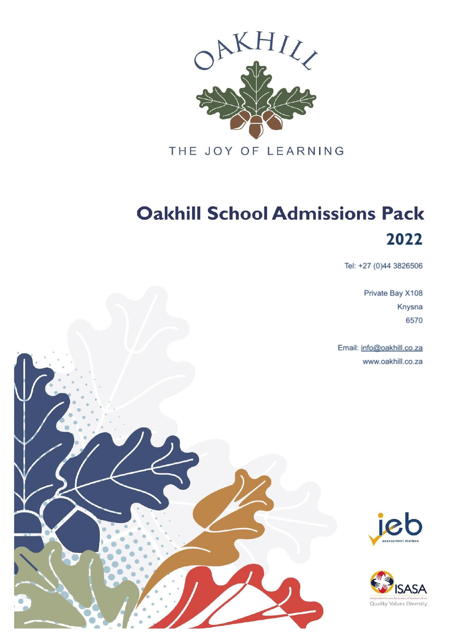

THE JOY OF LEARNING

# **Oakhill School Admissions Pack** 2022

Tel: +27 (0)44 3826506

Private Bay X108 Knysna 6570

Email: info@oakhill.co.za www.oakhill.co.za





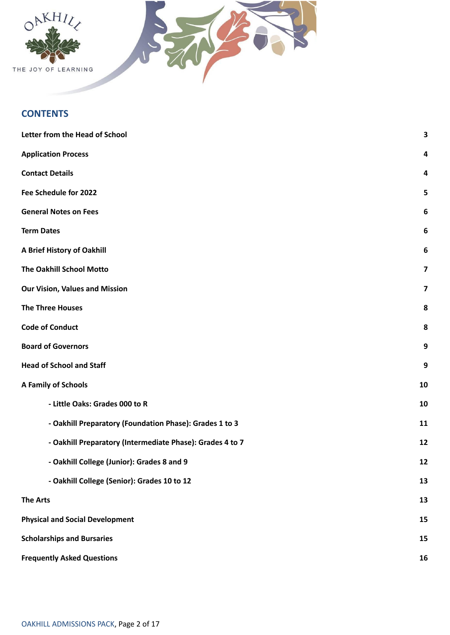

# **CONTENTS**

| Letter from the Head of School                            | 3                |
|-----------------------------------------------------------|------------------|
| <b>Application Process</b>                                | 4                |
| <b>Contact Details</b>                                    | 4                |
| Fee Schedule for 2022                                     | 5                |
| <b>General Notes on Fees</b>                              | $\boldsymbol{6}$ |
| <b>Term Dates</b>                                         | 6                |
| A Brief History of Oakhill                                | 6                |
| The Oakhill School Motto                                  | 7                |
| <b>Our Vision, Values and Mission</b>                     | 7                |
| <b>The Three Houses</b>                                   | 8                |
| <b>Code of Conduct</b>                                    | 8                |
| <b>Board of Governors</b>                                 | 9                |
| <b>Head of School and Staff</b>                           | 9                |
| A Family of Schools                                       | 10               |
| - Little Oaks: Grades 000 to R                            | 10               |
| - Oakhill Preparatory (Foundation Phase): Grades 1 to 3   | 11               |
| - Oakhill Preparatory (Intermediate Phase): Grades 4 to 7 | 12               |
| - Oakhill College (Junior): Grades 8 and 9                | 12               |
| - Oakhill College (Senior): Grades 10 to 12               | 13               |
| <b>The Arts</b>                                           | 13               |
| <b>Physical and Social Development</b>                    | 15               |
| <b>Scholarships and Bursaries</b>                         | 15               |
| <b>Frequently Asked Questions</b>                         | 16               |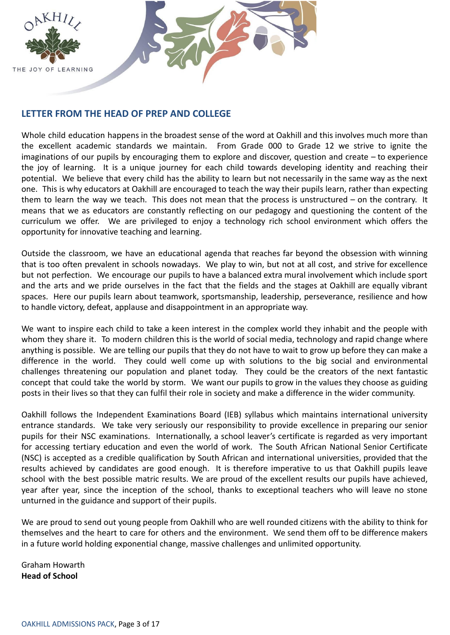

# **LETTER FROM THE HEAD OF PREP AND COLLEGE**

Whole child education happens in the broadest sense of the word at Oakhill and this involves much more than the excellent academic standards we maintain. From Grade 000 to Grade 12 we strive to ignite the imaginations of our pupils by encouraging them to explore and discover, question and create – to experience the joy of learning. It is a unique journey for each child towards developing identity and reaching their potential. We believe that every child has the ability to learn but not necessarily in the same way as the next one. This is why educators at Oakhill are encouraged to teach the way their pupils learn, rather than expecting them to learn the way we teach. This does not mean that the process is unstructured – on the contrary. It means that we as educators are constantly reflecting on our pedagogy and questioning the content of the curriculum we offer. We are privileged to enjoy a technology rich school environment which offers the opportunity for innovative teaching and learning.

Outside the classroom, we have an educational agenda that reaches far beyond the obsession with winning that is too often prevalent in schools nowadays. We play to win, but not at all cost, and strive for excellence but not perfection. We encourage our pupils to have a balanced extra mural involvement which include sport and the arts and we pride ourselves in the fact that the fields and the stages at Oakhill are equally vibrant spaces. Here our pupils learn about teamwork, sportsmanship, leadership, perseverance, resilience and how to handle victory, defeat, applause and disappointment in an appropriate way.

We want to inspire each child to take a keen interest in the complex world they inhabit and the people with whom they share it. To modern children this is the world of social media, technology and rapid change where anything is possible. We are telling our pupils that they do not have to wait to grow up before they can make a difference in the world. They could well come up with solutions to the big social and environmental challenges threatening our population and planet today. They could be the creators of the next fantastic concept that could take the world by storm. We want our pupils to grow in the values they choose as guiding posts in their lives so that they can fulfil their role in society and make a difference in the wider community.

Oakhill follows the Independent Examinations Board (IEB) syllabus which maintains international university entrance standards. We take very seriously our responsibility to provide excellence in preparing our senior pupils for their NSC examinations. Internationally, a school leaver's certificate is regarded as very important for accessing tertiary education and even the world of work. The South African National Senior Certificate (NSC) is accepted as a credible qualification by South African and international universities, provided that the results achieved by candidates are good enough. It is therefore imperative to us that Oakhill pupils leave school with the best possible matric results. We are proud of the excellent results our pupils have achieved, year after year, since the inception of the school, thanks to exceptional teachers who will leave no stone unturned in the guidance and support of their pupils.

We are proud to send out young people from Oakhill who are well rounded citizens with the ability to think for themselves and the heart to care for others and the environment. We send them off to be difference makers in a future world holding exponential change, massive challenges and unlimited opportunity.

Graham Howarth **Head of School**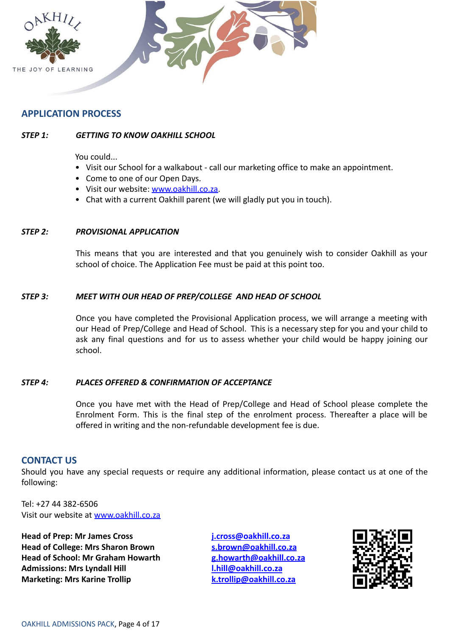

# **APPLICATION PROCESS**

# *STEP 1: GETTING TO KNOW OAKHILL SCHOOL*

You could...

- Visit our School for a walkabout call our marketing office to make an appointment.
- Come to one of our Open Days.
- Visit our website: [www.oakhill.co.za.](http://www.oakhill.co.za)
- Chat with a current Oakhill parent (we will gladly put you in touch).

#### *STEP 2: PROVISIONAL APPLICATION*

This means that you are interested and that you genuinely wish to consider Oakhill as your school of choice. The Application Fee must be paid at this point too.

#### *STEP 3: MEET WITH OUR HEAD OF PREP/COLLEGE AND HEAD OF SCHOOL*

Once you have completed the Provisional Application process, we will arrange a meeting with our Head of Prep/College and Head of School. This is a necessary step for you and your child to ask any final questions and for us to assess whether your child would be happy joining our school.

#### *STEP 4: PLACES OFFERED & CONFIRMATION OF ACCEPTANCE*

Once you have met with the Head of Prep/College and Head of School please complete the Enrolment Form. This is the final step of the enrolment process. Thereafter a place will be offered in writing and the non-refundable development fee is due.

# **CONTACT US**

Should you have any special requests or require any additional information, please contact us at one of the following:

Tel: +27 44 382-6506 Visit our website at [www.oakhill.co.za](http://www.oakhill.co.za)

**Head of Prep: Mr James Cross [j.cross@oakhill.co.za](mailto:j.cross@oakhill.co.za) Head of College: Mrs Sharon Brown [s.brown@oakhill.co.za](mailto:s.brown@oakhill.co.za) Head of School: Mr Graham Howarth [g.howarth@oakhill.co.za](mailto:g.howarth@oakhill.co.za) Admissions: Mrs Lyndall Hill [l.hill@oakhill.co.za](mailto:l.hill@oakhill.co.za) Marketing: Mrs Karine Trollip [k.trollip@oakhill.co.za](mailto:k.trollip@oakhill.co.za)** 

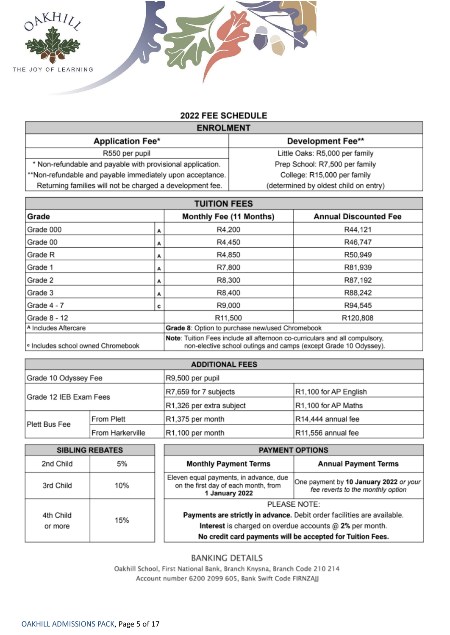

# 2022 FEE SCHEDULE

| <b>ENROLMENT</b>                                           |                                       |  |  |
|------------------------------------------------------------|---------------------------------------|--|--|
| <b>Application Fee*</b>                                    | <b>Development Fee**</b>              |  |  |
| R550 per pupil                                             | Little Oaks: R5,000 per family        |  |  |
| * Non-refundable and payable with provisional application. | Prep School: R7,500 per family        |  |  |
| **Non-refundable and payable immediately upon acceptance.  | College: R15,000 per family           |  |  |
| Returning families will not be charged a development fee.  | (determined by oldest child on entry) |  |  |
|                                                            |                                       |  |  |

| <b>TUITION FEES</b>                                                     |   |                                                                                                                                                 |                              |
|-------------------------------------------------------------------------|---|-------------------------------------------------------------------------------------------------------------------------------------------------|------------------------------|
| Grade                                                                   |   | Monthly Fee (11 Months)                                                                                                                         | <b>Annual Discounted Fee</b> |
| Grade 000                                                               | A | R4,200                                                                                                                                          | R44,121                      |
| Grade 00                                                                | А | R4,450                                                                                                                                          | R46,747                      |
| Grade R                                                                 | А | R4,850                                                                                                                                          | R50,949                      |
| Grade 1                                                                 | А | R7,800                                                                                                                                          | R81,939                      |
| Grade 2                                                                 | А | R8,300                                                                                                                                          | R87,192                      |
| Grade 3                                                                 |   | R8,400                                                                                                                                          | R88,242                      |
| Grade 4 - 7                                                             | c | R9,000                                                                                                                                          | R94,545                      |
| Grade 8 - 12                                                            |   | R11,500                                                                                                                                         | R120,808                     |
| A Includes Aftercare<br>Grade 8: Option to purchase new/used Chromebook |   |                                                                                                                                                 |                              |
| c Includes school owned Chromebook                                      |   | Note: Tuition Fees include all afternoon co-curriculars and all compulsory,<br>non-elective school outings and camps (except Grade 10 Odyssey). |                              |

| <b>ADDITIONAL FEES</b> |                   |                          |                       |
|------------------------|-------------------|--------------------------|-----------------------|
| Grade 10 Odyssey Fee   |                   | R9,500 per pupil         |                       |
| Grade 12 IEB Exam Fees |                   | R7,659 for 7 subjects    | R1,100 for AP English |
|                        |                   | R1,326 per extra subject | R1,100 for AP Maths   |
| <b>Plett Bus Fee</b>   | <b>From Plett</b> | R1,375 per month         | R14,444 annual fee    |
|                        | From Harkerville  | R1,100 per month         | R11,556 annual fee    |

|           | <b>SIBLING REBATES</b> | <b>PAYMENT OPTIONS</b>                                                                                                                                    |                                                                             |
|-----------|------------------------|-----------------------------------------------------------------------------------------------------------------------------------------------------------|-----------------------------------------------------------------------------|
| 2nd Child | 5%                     | <b>Monthly Payment Terms</b>                                                                                                                              | <b>Annual Payment Terms</b>                                                 |
| 3rd Child | 10%                    | Eleven equal payments, in advance, due<br>on the first day of each month, from<br>1 January 2022                                                          | One payment by 10 January 2022 or your<br>fee reverts to the monthly option |
|           |                        | <b>PLEASE NOTE:</b><br>Payments are strictly in advance. Debit order facilities are available.<br>Interest is charged on overdue accounts @ 2% per month. |                                                                             |
| 4th Child | 15%                    |                                                                                                                                                           |                                                                             |
| or more   |                        |                                                                                                                                                           |                                                                             |
|           |                        |                                                                                                                                                           | No credit card payments will be accepted for Tuition Fees.                  |

# **BANKING DETAILS**

Oakhill School, First National Bank, Branch Knysna, Branch Code 210 214 Account number 6200 2099 605, Bank Swift Code FIRNZAJJ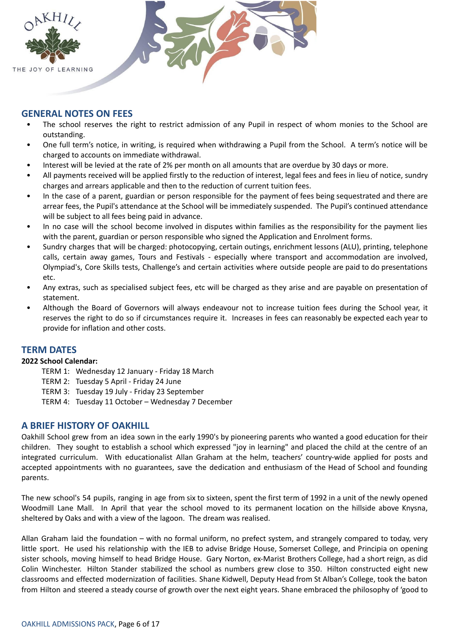

# **GENERAL NOTES ON FEES**

- The school reserves the right to restrict admission of any Pupil in respect of whom monies to the School are outstanding.
- One full term's notice, in writing, is required when withdrawing a Pupil from the School. A term's notice will be charged to accounts on immediate withdrawal.
- Interest will be levied at the rate of 2% per month on all amounts that are overdue by 30 days or more.
- All payments received will be applied firstly to the reduction of interest, legal fees and fees in lieu of notice, sundry charges and arrears applicable and then to the reduction of current tuition fees.
- In the case of a parent, guardian or person responsible for the payment of fees being sequestrated and there are arrear fees, the Pupil's attendance at the School will be immediately suspended. The Pupil's continued attendance will be subject to all fees being paid in advance.
- In no case will the school become involved in disputes within families as the responsibility for the payment lies with the parent, guardian or person responsible who signed the Application and Enrolment forms.
- Sundry charges that will be charged: photocopying, certain outings, enrichment lessons (ALU), printing, telephone calls, certain away games, Tours and Festivals - especially where transport and accommodation are involved, Olympiad's, Core Skills tests, Challenge's and certain activities where outside people are paid to do presentations etc.
- Any extras, such as specialised subject fees, etc will be charged as they arise and are payable on presentation of statement.
- Although the Board of Governors will always endeavour not to increase tuition fees during the School year, it reserves the right to do so if circumstances require it. Increases in fees can reasonably be expected each year to provide for inflation and other costs.

# **TERM DATES**

#### **2022 School Calendar:**

- TERM 1: Wednesday 12 January Friday 18 March
- TERM 2: Tuesday 5 April Friday 24 June
- TERM 3: Tuesday 19 July Friday 23 September
- TERM 4: Tuesday 11 October Wednesday 7 December

# **A BRIEF HISTORY OF OAKHILL**

Oakhill School grew from an idea sown in the early 1990's by pioneering parents who wanted a good education for their children. They sought to establish a school which expressed "joy in learning" and placed the child at the centre of an integrated curriculum. With educationalist Allan Graham at the helm, teachers' country-wide applied for posts and accepted appointments with no guarantees, save the dedication and enthusiasm of the Head of School and founding parents.

The new school's 54 pupils, ranging in age from six to sixteen, spent the first term of 1992 in a unit of the newly opened Woodmill Lane Mall. In April that year the school moved to its permanent location on the hillside above Knysna, sheltered by Oaks and with a view of the lagoon. The dream was realised.

Allan Graham laid the foundation – with no formal uniform, no prefect system, and strangely compared to today, very little sport. He used his relationship with the IEB to advise Bridge House, Somerset College, and Principia on opening sister schools, moving himself to head Bridge House. Gary Norton, ex-Marist Brothers College, had a short reign, as did Colin Winchester. Hilton Stander stabilized the school as numbers grew close to 350. Hilton constructed eight new classrooms and effected modernization of facilities. Shane Kidwell, Deputy Head from St Alban's College, took the baton from Hilton and steered a steady course of growth over the next eight years. Shane embraced the philosophy of 'good to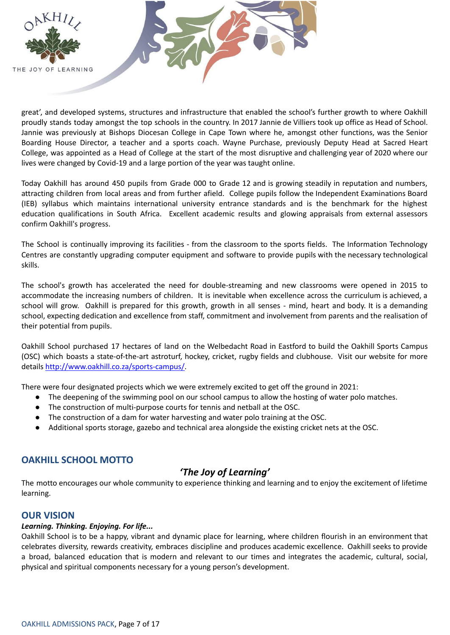

great', and developed systems, structures and infrastructure that enabled the school's further growth to where Oakhill proudly stands today amongst the top schools in the country. In 2017 Jannie de Villiers took up office as Head of School. Jannie was previously at Bishops Diocesan College in Cape Town where he, amongst other functions, was the Senior Boarding House Director, a teacher and a sports coach. Wayne Purchase, previously Deputy Head at Sacred Heart College, was appointed as a Head of College at the start of the most disruptive and challenging year of 2020 where our lives were changed by Covid-19 and a large portion of the year was taught online.

Today Oakhill has around 450 pupils from Grade 000 to Grade 12 and is growing steadily in reputation and numbers, attracting children from local areas and from further afield. College pupils follow the Independent Examinations Board (IEB) syllabus which maintains international university entrance standards and is the benchmark for the highest education qualifications in South Africa. Excellent academic results and glowing appraisals from external assessors confirm Oakhill's progress.

The School is continually improving its facilities - from the classroom to the sports fields. The Information Technology Centres are constantly upgrading computer equipment and software to provide pupils with the necessary technological skills.

The school's growth has accelerated the need for double-streaming and new classrooms were opened in 2015 to accommodate the increasing numbers of children. It is inevitable when excellence across the curriculum is achieved, a school will grow. Oakhill is prepared for this growth, growth in all senses - mind, heart and body. It is a demanding school, expecting dedication and excellence from staff, commitment and involvement from parents and the realisation of their potential from pupils.

Oakhill School purchased 17 hectares of land on the Welbedacht Road in Eastford to build the Oakhill Sports Campus (OSC) which boasts a state-of-the-art astroturf, hockey, cricket, rugby fields and clubhouse. Visit our website for more details [http://www.oakhill.co.za/sports-campus/.](http://www.oakhill.co.za/sports-campus/)

There were four designated projects which we were extremely excited to get off the ground in 2021:

- The deepening of the swimming pool on our school campus to allow the hosting of water polo matches.
- The construction of multi-purpose courts for tennis and netball at the OSC.
- The construction of a dam for water harvesting and water polo training at the OSC.
- Additional sports storage, gazebo and technical area alongside the existing cricket nets at the OSC.

# **OAKHILL SCHOOL MOTTO**

# *'The Joy of Learning'*

The motto encourages our whole community to experience thinking and learning and to enjoy the excitement of lifetime learning.

# **OUR VISION**

#### *Learning. Thinking. Enjoying. For life...*

Oakhill School is to be a happy, vibrant and dynamic place for learning, where children flourish in an environment that celebrates diversity, rewards creativity, embraces discipline and produces academic excellence. Oakhill seeks to provide a broad, balanced education that is modern and relevant to our times and integrates the academic, cultural, social, physical and spiritual components necessary for a young person's development.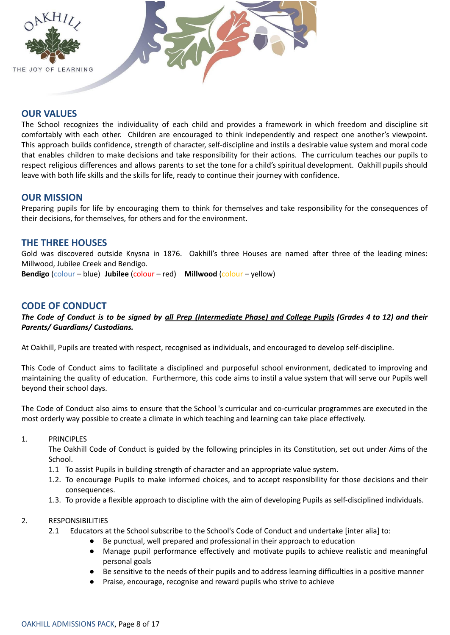

# **OUR VALUES**

The School recognizes the individuality of each child and provides a framework in which freedom and discipline sit comfortably with each other. Children are encouraged to think independently and respect one another's viewpoint. This approach builds confidence, strength of character, self-discipline and instils a desirable value system and moral code that enables children to make decisions and take responsibility for their actions. The curriculum teaches our pupils to respect religious differences and allows parents to set the tone for a child's spiritual development. Oakhill pupils should leave with both life skills and the skills for life, ready to continue their journey with confidence.

# **OUR MISSION**

Preparing pupils for life by encouraging them to think for themselves and take responsibility for the consequences of their decisions, for themselves, for others and for the environment.

# **THE THREE HOUSES**

Gold was discovered outside Knysna in 1876. Oakhill's three Houses are named after three of the leading mines: Millwood, Jubilee Creek and Bendigo.

**Bendigo** (colour – blue) **Jubilee** (colour – red) **Millwood** (colour – yellow)

# **CODE OF CONDUCT**

#### The Code of Conduct is to be signed by all Prep (Intermediate Phase) and College Pupils (Grades 4 to 12) and their *Parents/ Guardians/ Custodians.*

At Oakhill, Pupils are treated with respect, recognised as individuals, and encouraged to develop self-discipline.

This Code of Conduct aims to facilitate a disciplined and purposeful school environment, dedicated to improving and maintaining the quality of education. Furthermore, this code aims to instil a value system that will serve our Pupils well beyond their school days.

The Code of Conduct also aims to ensure that the School 's curricular and co-curricular programmes are executed in the most orderly way possible to create a climate in which teaching and learning can take place effectively.

#### 1. PRINCIPLES

The Oakhill Code of Conduct is guided by the following principles in its Constitution, set out under Aims of the School.

- 1.1 To assist Pupils in building strength of character and an appropriate value system.
- 1.2. To encourage Pupils to make informed choices, and to accept responsibility for those decisions and their consequences.
- 1.3. To provide a flexible approach to discipline with the aim of developing Pupils as self-disciplined individuals.

#### 2. RESPONSIBILITIES

- 2.1 Educators at the School subscribe to the School's Code of Conduct and undertake [inter alia] to:
	- Be punctual, well prepared and professional in their approach to education
	- Manage pupil performance effectively and motivate pupils to achieve realistic and meaningful personal goals
	- Be sensitive to the needs of their pupils and to address learning difficulties in a positive manner
	- Praise, encourage, recognise and reward pupils who strive to achieve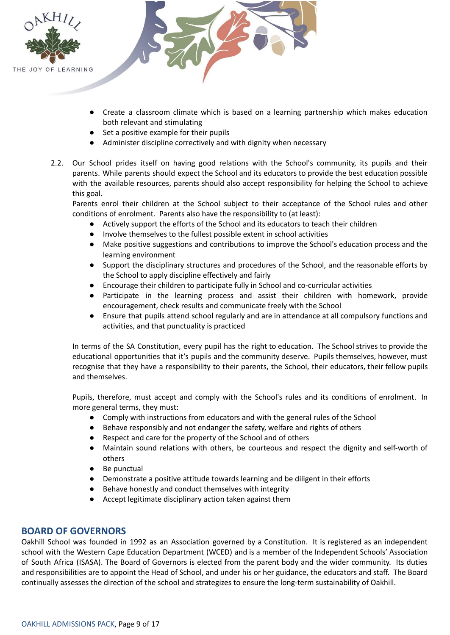

- Create a classroom climate which is based on a learning partnership which makes education both relevant and stimulating
- Set a positive example for their pupils
- Administer discipline correctively and with dignity when necessary
- 2.2. Our School prides itself on having good relations with the School's community, its pupils and their parents. While parents should expect the School and its educators to provide the best education possible with the available resources, parents should also accept responsibility for helping the School to achieve this goal.

Parents enrol their children at the School subject to their acceptance of the School rules and other conditions of enrolment. Parents also have the responsibility to (at least):

- Actively support the efforts of the School and its educators to teach their children
- Involve themselves to the fullest possible extent in school activities
- Make positive suggestions and contributions to improve the School's education process and the learning environment
- Support the disciplinary structures and procedures of the School, and the reasonable efforts by the School to apply discipline effectively and fairly
- Encourage their children to participate fully in School and co-curricular activities
- Participate in the learning process and assist their children with homework, provide encouragement, check results and communicate freely with the School
- Ensure that pupils attend school regularly and are in attendance at all compulsory functions and activities, and that punctuality is practiced

In terms of the SA Constitution, every pupil has the right to education. The School strives to provide the educational opportunities that it's pupils and the community deserve. Pupils themselves, however, must recognise that they have a responsibility to their parents, the School, their educators, their fellow pupils and themselves.

Pupils, therefore, must accept and comply with the School's rules and its conditions of enrolment. In more general terms, they must:

- Comply with instructions from educators and with the general rules of the School
- Behave responsibly and not endanger the safety, welfare and rights of others
- Respect and care for the property of the School and of others
- Maintain sound relations with others, be courteous and respect the dignity and self-worth of others
- Be punctual
- Demonstrate a positive attitude towards learning and be diligent in their efforts
- Behave honestly and conduct themselves with integrity
- Accept legitimate disciplinary action taken against them

# **BOARD OF GOVERNORS**

Oakhill School was founded in 1992 as an Association governed by a Constitution. It is registered as an independent school with the Western Cape Education Department (WCED) and is a member of the Independent Schools' Association of South Africa (ISASA). The Board of Governors is elected from the parent body and the wider community. Its duties and responsibilities are to appoint the Head of School, and under his or her guidance, the educators and staff. The Board continually assesses the direction of the school and strategizes to ensure the long-term sustainability of Oakhill.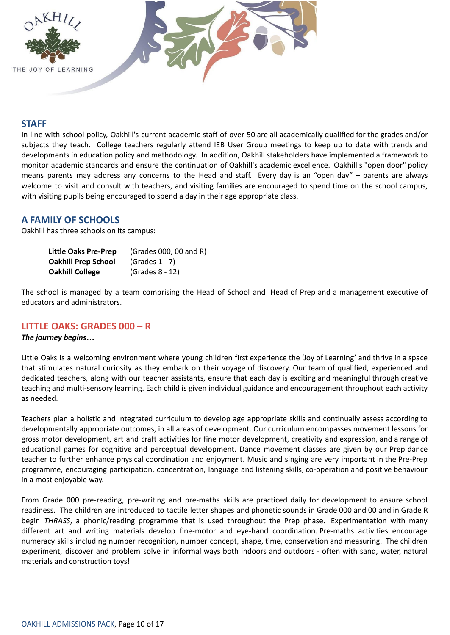

# **STAFF**

In line with school policy, Oakhill's current academic staff of over 50 are all academically qualified for the grades and/or subjects they teach. College teachers regularly attend IEB User Group meetings to keep up to date with trends and developments in education policy and methodology. In addition, Oakhill stakeholders have implemented a framework to monitor academic standards and ensure the continuation of Oakhill's academic excellence. Oakhill's "open door" policy means parents may address any concerns to the Head and staff. Every day is an "open day" – parents are always welcome to visit and consult with teachers, and visiting families are encouraged to spend time on the school campus, with visiting pupils being encouraged to spend a day in their age appropriate class.

# **A FAMILY OF SCHOOLS**

Oakhill has three schools on its campus:

| Little Oaks Pre-Prep       | (Grades 000, 00 and R) |
|----------------------------|------------------------|
| <b>Oakhill Prep School</b> | $(Grades 1 - 7)$       |
| <b>Oakhill College</b>     | (Grades 8 - 12)        |

The school is managed by a team comprising the Head of School and Head of Prep and a management executive of educators and administrators.

#### **LITTLE OAKS: GRADES 000 – R**

#### *The journey begins…*

Little Oaks is a welcoming environment where young children first experience the 'Joy of Learning' and thrive in a space that stimulates natural curiosity as they embark on their voyage of discovery. Our team of qualified, experienced and dedicated teachers, along with our teacher assistants, ensure that each day is exciting and meaningful through creative teaching and multi-sensory learning. Each child is given individual guidance and encouragement throughout each activity as needed.

Teachers plan a holistic and integrated curriculum to develop age appropriate skills and continually assess according to developmentally appropriate outcomes, in all areas of development. Our curriculum encompasses movement lessons for gross motor development, art and craft activities for fine motor development, creativity and expression, and a range of educational games for cognitive and perceptual development. Dance movement classes are given by our Prep dance teacher to further enhance physical coordination and enjoyment. Music and singing are very important in the Pre-Prep programme, encouraging participation, concentration, language and listening skills, co-operation and positive behaviour in a most enjoyable way.

From Grade 000 pre-reading, pre-writing and pre-maths skills are practiced daily for development to ensure school readiness. The children are introduced to tactile letter shapes and phonetic sounds in Grade 000 and 00 and in Grade R begin *THRASS*, a phonic/reading programme that is used throughout the Prep phase. Experimentation with many different art and writing materials develop fine-motor and eye-hand coordination. Pre-maths activities encourage numeracy skills including number recognition, number concept, shape, time, conservation and measuring. The children experiment, discover and problem solve in informal ways both indoors and outdoors - often with sand, water, natural materials and construction toys!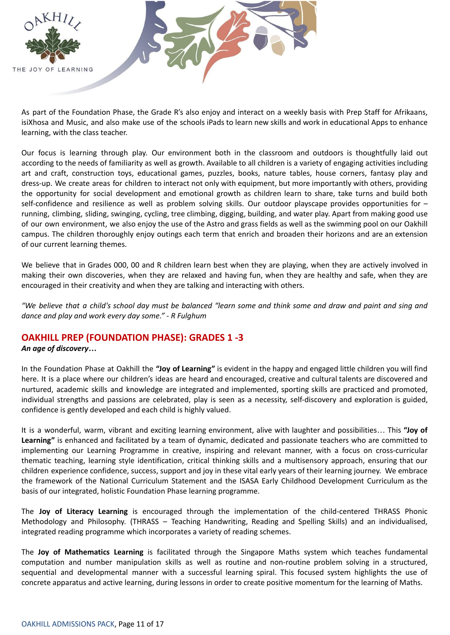

As part of the Foundation Phase, the Grade R's also enjoy and interact on a weekly basis with Prep Staff for Afrikaans, isiXhosa and Music, and also make use of the schools iPads to learn new skills and work in educational Apps to enhance learning, with the class teacher.

Our focus is learning through play. Our environment both in the classroom and outdoors is thoughtfully laid out according to the needs of familiarity as well as growth. Available to all children is a variety of engaging activities including art and craft, construction toys, educational games, puzzles, books, nature tables, house corners, fantasy play and dress-up. We create areas for children to interact not only with equipment, but more importantly with others, providing the opportunity for social development and emotional growth as children learn to share, take turns and build both self-confidence and resilience as well as problem solving skills. Our outdoor playscape provides opportunities for running, climbing, sliding, swinging, cycling, tree climbing, digging, building, and water play. Apart from making good use of our own environment, we also enjoy the use of the Astro and grass fields as well as the swimming pool on our Oakhill campus. The children thoroughly enjoy outings each term that enrich and broaden their horizons and are an extension of our current learning themes.

We believe that in Grades 000, 00 and R children learn best when they are playing, when they are actively involved in making their own discoveries, when they are relaxed and having fun, when they are healthy and safe, when they are encouraged in their creativity and when they are talking and interacting with others.

"We believe that a child's school day must be balanced "learn some and think some and draw and paint and sing and *dance and play and work every day some." - R Fulghum*

# **OAKHILL PREP (FOUNDATION PHASE): GRADES 1 -3**

#### *An age of discovery…*

In the Foundation Phase at Oakhill the **"Joy of Learning"** is evident in the happy and engaged little children you will find here. It is a place where our children's ideas are heard and encouraged, creative and cultural talents are discovered and nurtured, academic skills and knowledge are integrated and implemented, sporting skills are practiced and promoted, individual strengths and passions are celebrated, play is seen as a necessity, self-discovery and exploration is guided, confidence is gently developed and each child is highly valued.

It is a wonderful, warm, vibrant and exciting learning environment, alive with laughter and possibilities… This **"Joy of Learning"** is enhanced and facilitated by a team of dynamic, dedicated and passionate teachers who are committed to implementing our Learning Programme in creative, inspiring and relevant manner, with a focus on cross-curricular thematic teaching, learning style identification, critical thinking skills and a multisensory approach, ensuring that our children experience confidence, success, support and joy in these vital early years of their learning journey. We embrace the framework of the National Curriculum Statement and the ISASA Early Childhood Development Curriculum as the basis of our integrated, holistic Foundation Phase learning programme.

The **Joy of Literacy Learning** is encouraged through the implementation of the child-centered THRASS Phonic Methodology and Philosophy. (THRASS – Teaching Handwriting, Reading and Spelling Skills) and an individualised, integrated reading programme which incorporates a variety of reading schemes.

The **Joy of Mathematics Learning** is facilitated through the Singapore Maths system which teaches fundamental computation and number manipulation skills as well as routine and non-routine problem solving in a structured, sequential and developmental manner with a successful learning spiral. This focused system highlights the use of concrete apparatus and active learning, during lessons in order to create positive momentum for the learning of Maths.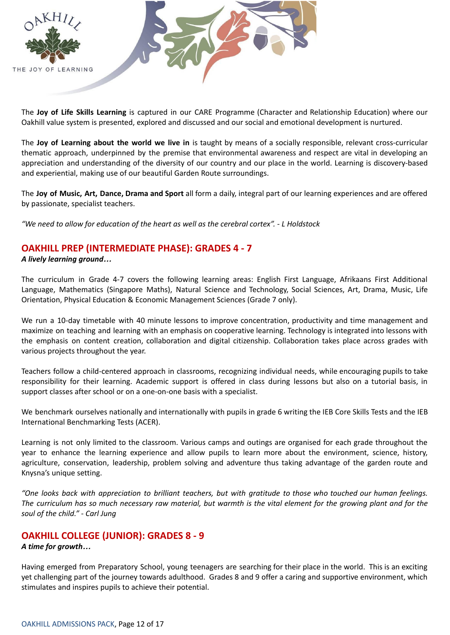

The **Joy of Life Skills Learning** is captured in our CARE Programme (Character and Relationship Education) where our Oakhill value system is presented, explored and discussed and our social and emotional development is nurtured.

The **Joy of Learning about the world we live in** is taught by means of a socially responsible, relevant cross-curricular thematic approach, underpinned by the premise that environmental awareness and respect are vital in developing an appreciation and understanding of the diversity of our country and our place in the world. Learning is discovery-based and experiential, making use of our beautiful Garden Route surroundings.

The **Joy of Music, Art, Dance, Drama and Sport** all form a daily, integral part of our learning experiences and are offered by passionate, specialist teachers.

*"We need to allow for education of the heart as well as the cerebral cortex". - L Holdstock*

# **OAKHILL PREP (INTERMEDIATE PHASE): GRADES 4 - 7**

*A lively learning ground…*

The curriculum in Grade 4-7 covers the following learning areas: English First Language, Afrikaans First Additional Language, Mathematics (Singapore Maths), Natural Science and Technology, Social Sciences, Art, Drama, Music, Life Orientation, Physical Education & Economic Management Sciences (Grade 7 only).

We run a 10-day timetable with 40 minute lessons to improve concentration, productivity and time management and maximize on teaching and learning with an emphasis on cooperative learning. Technology is integrated into lessons with the emphasis on content creation, collaboration and digital citizenship. Collaboration takes place across grades with various projects throughout the year.

Teachers follow a child-centered approach in classrooms, recognizing individual needs, while encouraging pupils to take responsibility for their learning. Academic support is offered in class during lessons but also on a tutorial basis, in support classes after school or on a one-on-one basis with a specialist.

We benchmark ourselves nationally and internationally with pupils in grade 6 writing the IEB Core Skills Tests and the IEB International Benchmarking Tests (ACER).

Learning is not only limited to the classroom. Various camps and outings are organised for each grade throughout the year to enhance the learning experience and allow pupils to learn more about the environment, science, history, agriculture, conservation, leadership, problem solving and adventure thus taking advantage of the garden route and Knysna's unique setting.

"One looks back with appreciation to brilliant teachers, but with aratitude to those who touched our human feelings, The curriculum has so much necessary raw material, but warmth is the vital element for the growing plant and for the *soul of the child." - Carl Jung*

# **OAKHILL COLLEGE (JUNIOR): GRADES 8 - 9**

#### *A time for growth…*

Having emerged from Preparatory School, young teenagers are searching for their place in the world. This is an exciting yet challenging part of the journey towards adulthood. Grades 8 and 9 offer a caring and supportive environment, which stimulates and inspires pupils to achieve their potential.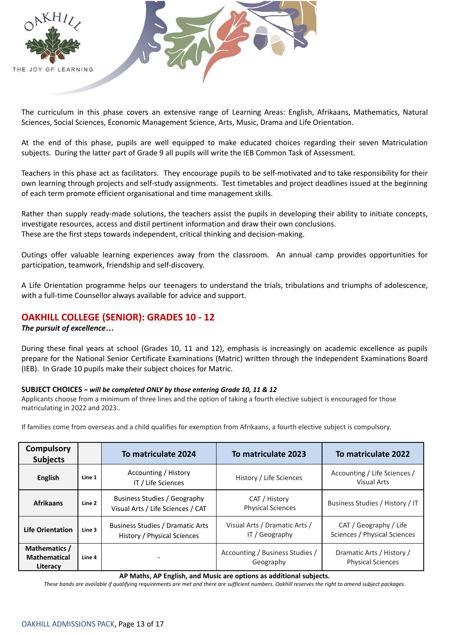

The curriculum in this phase covers an extensive range of Learning Areas: English, Afrikaans, Mathematics, Natural Sciences, Social Sciences, Economic Management Science, Arts, Music, Drama and Life Orientation.

At the end of this phase, pupils are well equipped to make educated choices regarding their seven Matriculation subjects. During the latter part of Grade 9 all pupils will write the IEB Common Task of Assessment.

Teachers in this phase act as facilitators. They encourage pupils to be self-motivated and to take responsibility for their own learning through projects and self-study assignments. Test timetables and project deadlines issued at the beginning of each term promote efficient organisational and time management skills.

Rather than supply ready-made solutions, the teachers assist the pupils in developing their ability to initiate concepts, investigate resources, access and distil pertinent information and draw their own conclusions. These are the first steps towards independent, critical thinking and decision-making.

Outings offer valuable learning experiences away from the classroom. An annual camp provides opportunities for participation, teamwork, friendship and self-discovery.

A Life Orientation programme helps our teenagers to understand the trials, tribulations and triumphs of adolescence, with a full-time Counsellor always available for advice and support.

# **OAKHILL COLLEGE (SENIOR): GRADES 10 - 12**

#### *The pursuit of excellence…*

During these final years at school (Grades 10, 11 and 12), emphasis is increasingly on academic excellence as pupils prepare for the National Senior Certificate Examinations (Matric) written through the Independent Examinations Board (IEB). In Grade 10 pupils make their subject choices for Matric.

#### **SUBJECT CHOICES** *– will be completed ONLY by those entering Grade 10, 11 & 12*

Applicants choose from a minimum of three lines and the option of taking a fourth elective subject is encouraged for those matriculating in 2022 and 2023..

| <b>Compulsory</b><br><b>Subjects</b>             |        | To matriculate 2024                                               | To matriculate 2023                             | To matriculate 2022                                    |
|--------------------------------------------------|--------|-------------------------------------------------------------------|-------------------------------------------------|--------------------------------------------------------|
| <b>English</b>                                   | Line 1 | Accounting / History<br>IT / Life Sciences                        | History / Life Sciences                         | Accounting / Life Sciences /<br>Visual Arts            |
| <b>Afrikaans</b>                                 | Line 2 | Business Studies / Geography<br>Visual Arts / Life Sciences / CAT | CAT / History<br><b>Physical Sciences</b>       | Business Studies / History / IT                        |
| <b>Life Orientation</b>                          | Line 3 | Business Studies / Dramatic Arts<br>History / Physical Sciences   | Visual Arts / Dramatic Arts /<br>IT / Geography | CAT / Geography / Life<br>Sciences / Physical Sciences |
| Mathematics /<br><b>Mathematical</b><br>Literacy | Line 4 |                                                                   | Accounting / Business Studies /<br>Geography    | Dramatic Arts / History /<br><b>Physical Sciences</b>  |

If families come from overseas and a child qualifies for exemption from Afrikaans, a fourth elective subject is compulsory.

**AP Maths, AP English, and Music are options as additional subjects.**

These bands are available if qualifying requirements are met and there are sufficient numbers. Oakhill reserves the right to amend subject packages.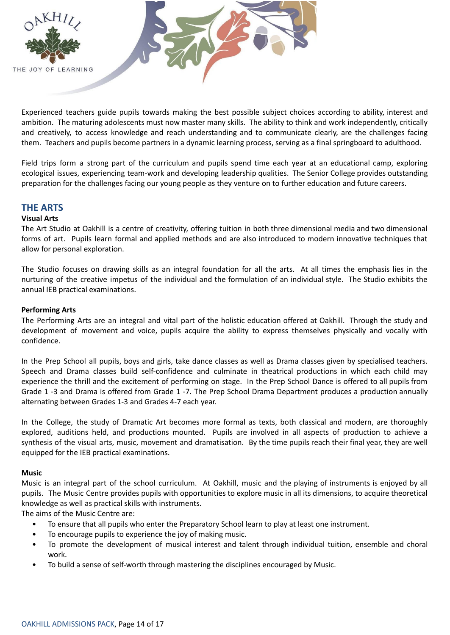

Experienced teachers guide pupils towards making the best possible subject choices according to ability, interest and ambition. The maturing adolescents must now master many skills. The ability to think and work independently, critically and creatively, to access knowledge and reach understanding and to communicate clearly, are the challenges facing them. Teachers and pupils become partners in a dynamic learning process, serving as a final springboard to adulthood.

Field trips form a strong part of the curriculum and pupils spend time each year at an educational camp, exploring ecological issues, experiencing team-work and developing leadership qualities. The Senior College provides outstanding preparation for the challenges facing our young people as they venture on to further education and future careers.

# **THE ARTS**

#### **Visual Arts**

The Art Studio at Oakhill is a centre of creativity, offering tuition in both three dimensional media and two dimensional forms of art. Pupils learn formal and applied methods and are also introduced to modern innovative techniques that allow for personal exploration.

The Studio focuses on drawing skills as an integral foundation for all the arts. At all times the emphasis lies in the nurturing of the creative impetus of the individual and the formulation of an individual style. The Studio exhibits the annual IEB practical examinations.

#### **Performing Arts**

The Performing Arts are an integral and vital part of the holistic education offered at Oakhill. Through the study and development of movement and voice, pupils acquire the ability to express themselves physically and vocally with confidence.

In the Prep School all pupils, boys and girls, take dance classes as well as Drama classes given by specialised teachers. Speech and Drama classes build self-confidence and culminate in theatrical productions in which each child may experience the thrill and the excitement of performing on stage. In the Prep School Dance is offered to all pupils from Grade 1 -3 and Drama is offered from Grade 1 -7. The Prep School Drama Department produces a production annually alternating between Grades 1-3 and Grades 4-7 each year.

In the College, the study of Dramatic Art becomes more formal as texts, both classical and modern, are thoroughly explored, auditions held, and productions mounted. Pupils are involved in all aspects of production to achieve a synthesis of the visual arts, music, movement and dramatisation. By the time pupils reach their final year, they are well equipped for the IEB practical examinations.

#### **Music**

Music is an integral part of the school curriculum. At Oakhill, music and the playing of instruments is enjoyed by all pupils. The Music Centre provides pupils with opportunities to explore music in all its dimensions, to acquire theoretical knowledge as well as practical skills with instruments.

The aims of the Music Centre are:

- To ensure that all pupils who enter the Preparatory School learn to play at least one instrument.
- To encourage pupils to experience the joy of making music.
- To promote the development of musical interest and talent through individual tuition, ensemble and choral work.
- To build a sense of self-worth through mastering the disciplines encouraged by Music.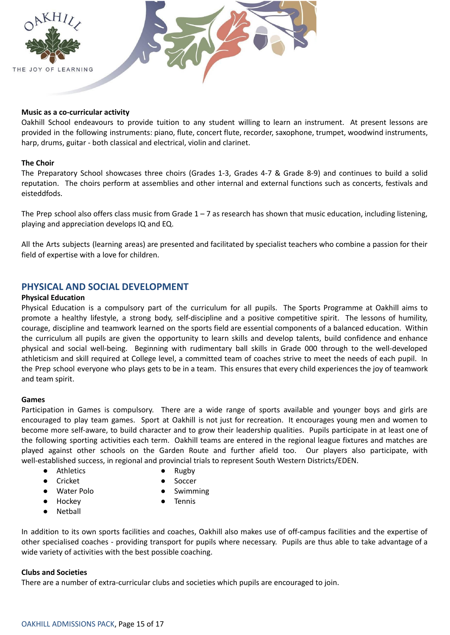

#### **Music as a co-curricular activity**

Oakhill School endeavours to provide tuition to any student willing to learn an instrument. At present lessons are provided in the following instruments: piano, flute, concert flute, recorder, saxophone, trumpet, woodwind instruments, harp, drums, guitar - both classical and electrical, violin and clarinet.

#### **The Choir**

The Preparatory School showcases three choirs (Grades 1-3, Grades 4-7 & Grade 8-9) and continues to build a solid reputation. The choirs perform at assemblies and other internal and external functions such as concerts, festivals and eisteddfods.

The Prep school also offers class music from Grade  $1 - 7$  as research has shown that music education, including listening, playing and appreciation develops IQ and EQ.

All the Arts subjects (learning areas) are presented and facilitated by specialist teachers who combine a passion for their field of expertise with a love for children.

# **PHYSICAL AND SOCIAL DEVELOPMENT**

#### **Physical Education**

Physical Education is a compulsory part of the curriculum for all pupils. The Sports Programme at Oakhill aims to promote a healthy lifestyle, a strong body, self-discipline and a positive competitive spirit. The lessons of humility, courage, discipline and teamwork learned on the sports field are essential components of a balanced education. Within the curriculum all pupils are given the opportunity to learn skills and develop talents, build confidence and enhance physical and social well-being. Beginning with rudimentary ball skills in Grade 000 through to the well-developed athleticism and skill required at College level, a committed team of coaches strive to meet the needs of each pupil. In the Prep school everyone who plays gets to be in a team. This ensures that every child experiences the joy of teamwork and team spirit.

#### **Games**

Participation in Games is compulsory. There are a wide range of sports available and younger boys and girls are encouraged to play team games. Sport at Oakhill is not just for recreation. It encourages young men and women to become more self-aware, to build character and to grow their leadership qualities. Pupils participate in at least one of the following sporting activities each term. Oakhill teams are entered in the regional league fixtures and matches are played against other schools on the Garden Route and further afield too. Our players also participate, with well-established success, in regional and provincial trials to represent South Western Districts/EDEN.

- Athletics Rugby
- 
- Cricket Soccer
	-
- Water Polo Swimming
- Hockey → Tennis
- Netball

In addition to its own sports facilities and coaches, Oakhill also makes use of off-campus facilities and the expertise of other specialised coaches - providing transport for pupils where necessary. Pupils are thus able to take advantage of a wide variety of activities with the best possible coaching.

#### **Clubs and Societies**

There are a number of extra-curricular clubs and societies which pupils are encouraged to join.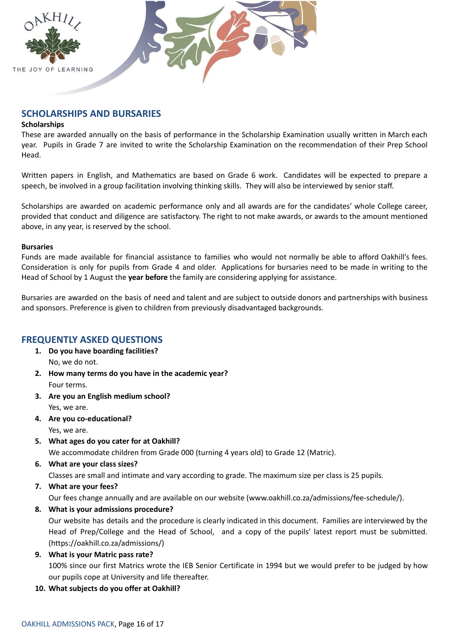

# **SCHOLARSHIPS AND BURSARIES**

#### **Scholarships**

These are awarded annually on the basis of performance in the Scholarship Examination usually written in March each year. Pupils in Grade 7 are invited to write the Scholarship Examination on the recommendation of their Prep School Head.

Written papers in English, and Mathematics are based on Grade 6 work. Candidates will be expected to prepare a speech, be involved in a group facilitation involving thinking skills. They will also be interviewed by senior staff.

Scholarships are awarded on academic performance only and all awards are for the candidates' whole College career, provided that conduct and diligence are satisfactory. The right to not make awards, or awards to the amount mentioned above, in any year, is reserved by the school.

#### **Bursaries**

Funds are made available for financial assistance to families who would not normally be able to afford Oakhill's fees. Consideration is only for pupils from Grade 4 and older. Applications for bursaries need to be made in writing to the Head of School by 1 August the **year before** the family are considering applying for assistance.

Bursaries are awarded on the basis of need and talent and are subject to outside donors and partnerships with business and sponsors. Preference is given to children from previously disadvantaged backgrounds.

# **FREQUENTLY ASKED QUESTIONS**

- **1. Do you have boarding facilities?** No, we do not.
- **2. How many terms do you have in the academic year?** Four terms.
- **3. Are you an English medium school?** Yes, we are.
- **4. Are you co-educational?**
	- Yes, we are.
- **5. What ages do you cater for at Oakhill?**

We accommodate children from Grade 000 (turning 4 years old) to Grade 12 (Matric).

**6. What are your class sizes?**

Classes are small and intimate and vary according to grade. The maximum size per class is 25 pupils.

**7. What are your fees?**

Our fees change annually and are available on our website (www.oakhill.co.za/admissions/fee-schedule/).

**8. What is your admissions procedure?**

Our website has details and the procedure is clearly indicated in this document. Families are interviewed by the Head of Prep/College and the Head of School, and a copy of the pupils' latest report must be submitted. (https://oakhill.co.za/admissions/)

**9. What is your Matric pass rate?** 100% since our first Matrics wrote the IEB Senior Certificate in 1994 but we would prefer to be judged by how our pupils cope at University and life thereafter.

**10. What subjects do you offer at Oakhill?**